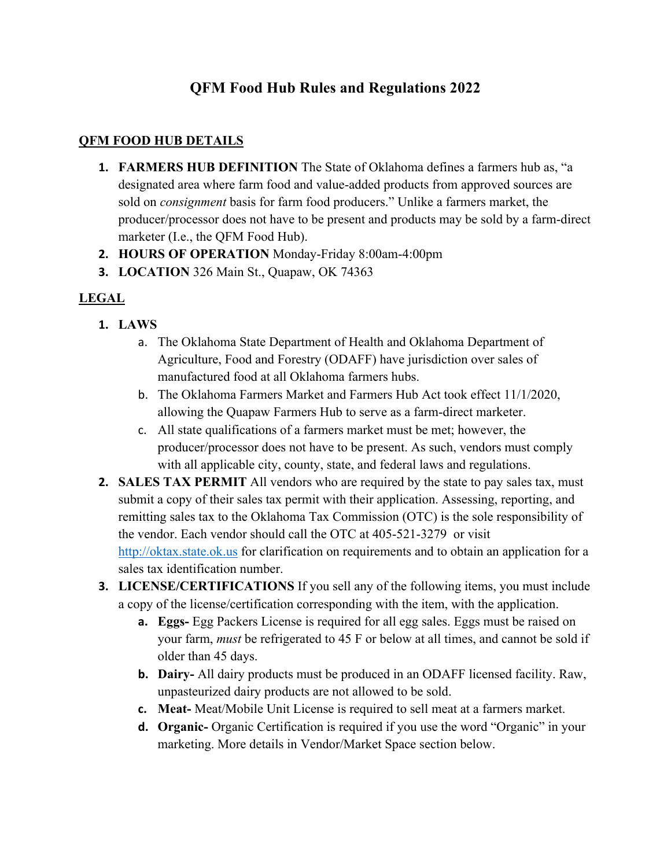## **QFM Food Hub Rules and Regulations 2022**

#### **QFM FOOD HUB DETAILS**

- **1. FARMERS HUB DEFINITION** The State of Oklahoma defines a farmers hub as, "a designated area where farm food and value-added products from approved sources are sold on *consignment* basis for farm food producers." Unlike a farmers market, the producer/processor does not have to be present and products may be sold by a farm-direct marketer (I.e., the QFM Food Hub).
- **2. HOURS OF OPERATION** Monday-Friday 8:00am-4:00pm
- **3. LOCATION** 326 Main St., Quapaw, OK 74363

### **LEGAL**

- **1. LAWS** 
	- a. The Oklahoma State Department of Health and Oklahoma Department of Agriculture, Food and Forestry (ODAFF) have jurisdiction over sales of manufactured food at all Oklahoma farmers hubs.
	- b. The Oklahoma Farmers Market and Farmers Hub Act took effect 11/1/2020, allowing the Quapaw Farmers Hub to serve as a farm-direct marketer.
	- c. All state qualifications of a farmers market must be met; however, the producer/processor does not have to be present. As such, vendors must comply with all applicable city, county, state, and federal laws and regulations.
- **2. SALES TAX PERMIT** All vendors who are required by the state to pay sales tax, must submit a copy of their sales tax permit with their application. Assessing, reporting, and remitting sales tax to the Oklahoma Tax Commission (OTC) is the sole responsibility of the vendor. Each vendor should call the OTC at 405-521-3279 or visit http://oktax.state.ok.us for clarification on requirements and to obtain an application for a sales tax identification number.
- **3. LICENSE/CERTIFICATIONS** If you sell any of the following items, you must include a copy of the license/certification corresponding with the item, with the application.
	- **a. Eggs-** Egg Packers License is required for all egg sales. Eggs must be raised on your farm, *must* be refrigerated to 45 F or below at all times, and cannot be sold if older than 45 days.
	- **b. Dairy-** All dairy products must be produced in an ODAFF licensed facility. Raw, unpasteurized dairy products are not allowed to be sold.
	- **c. Meat-** Meat/Mobile Unit License is required to sell meat at a farmers market.
	- **d. Organic-** Organic Certification is required if you use the word "Organic" in your marketing. More details in Vendor/Market Space section below.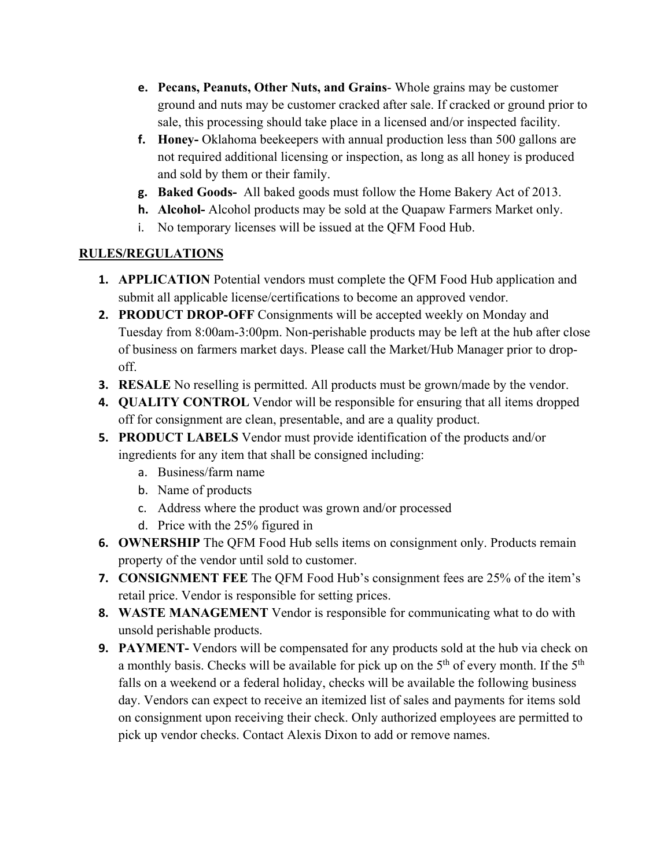- **e. Pecans, Peanuts, Other Nuts, and Grains** Whole grains may be customer ground and nuts may be customer cracked after sale. If cracked or ground prior to sale, this processing should take place in a licensed and/or inspected facility.
- **f. Honey-** Oklahoma beekeepers with annual production less than 500 gallons are not required additional licensing or inspection, as long as all honey is produced and sold by them or their family.
- **g. Baked Goods-** All baked goods must follow the Home Bakery Act of 2013.
- **h. Alcohol-** Alcohol products may be sold at the Quapaw Farmers Market only.
- i. No temporary licenses will be issued at the QFM Food Hub.

### **RULES/REGULATIONS**

- **1. APPLICATION** Potential vendors must complete the QFM Food Hub application and submit all applicable license/certifications to become an approved vendor.
- **2. PRODUCT DROP-OFF** Consignments will be accepted weekly on Monday and Tuesday from 8:00am-3:00pm. Non-perishable products may be left at the hub after close of business on farmers market days. Please call the Market/Hub Manager prior to dropoff.
- **3. RESALE** No reselling is permitted. All products must be grown/made by the vendor.
- **4. QUALITY CONTROL** Vendor will be responsible for ensuring that all items dropped off for consignment are clean, presentable, and are a quality product.
- **5. PRODUCT LABELS** Vendor must provide identification of the products and/or ingredients for any item that shall be consigned including:
	- a. Business/farm name
	- b. Name of products
	- c. Address where the product was grown and/or processed
	- d. Price with the 25% figured in
- **6. OWNERSHIP** The QFM Food Hub sells items on consignment only. Products remain property of the vendor until sold to customer.
- **7. CONSIGNMENT FEE** The QFM Food Hub's consignment fees are 25% of the item's retail price. Vendor is responsible for setting prices.
- **8. WASTE MANAGEMENT** Vendor is responsible for communicating what to do with unsold perishable products.
- **9. PAYMENT-** Vendors will be compensated for any products sold at the hub via check on a monthly basis. Checks will be available for pick up on the  $5<sup>th</sup>$  of every month. If the  $5<sup>th</sup>$ falls on a weekend or a federal holiday, checks will be available the following business day. Vendors can expect to receive an itemized list of sales and payments for items sold on consignment upon receiving their check. Only authorized employees are permitted to pick up vendor checks. Contact Alexis Dixon to add or remove names.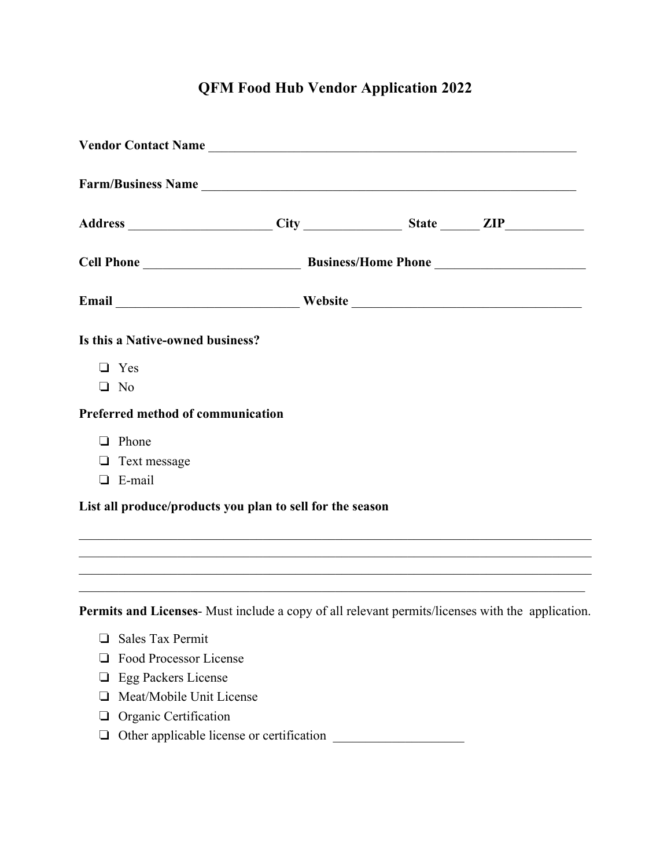# **QFM Food Hub Vendor Application 2022**

| Vendor Contact Name                                                                              |  |  |
|--------------------------------------------------------------------------------------------------|--|--|
|                                                                                                  |  |  |
|                                                                                                  |  |  |
|                                                                                                  |  |  |
|                                                                                                  |  |  |
| Is this a Native-owned business?                                                                 |  |  |
| $\Box$ Yes                                                                                       |  |  |
| $\Box$ No                                                                                        |  |  |
| Preferred method of communication                                                                |  |  |
| $\Box$ Phone                                                                                     |  |  |
| $\Box$ Text message                                                                              |  |  |
| $\Box$ E-mail                                                                                    |  |  |
| List all produce/products you plan to sell for the season                                        |  |  |
|                                                                                                  |  |  |
|                                                                                                  |  |  |
|                                                                                                  |  |  |
| Permits and Licenses- Must include a copy of all relevant permits/licenses with the application. |  |  |
| $\Box$ Sales Tax Permit                                                                          |  |  |
| <b>Example 3</b> Food Processor License                                                          |  |  |

- ❏ Egg Packers License
- ❏ Meat/Mobile Unit License
- ❏ Organic Certification
- ❏ Other applicable license or certification \_\_\_\_\_\_\_\_\_\_\_\_\_\_\_\_\_\_\_\_